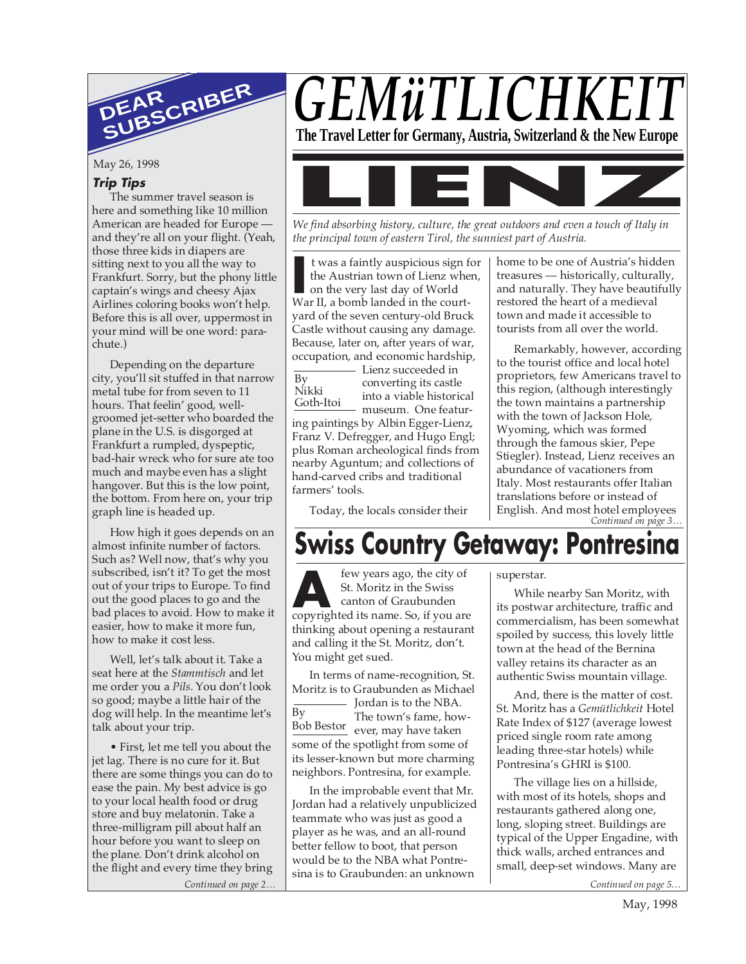

May 26, 1998

#### **Trip Tips**

The summer travel season is here and something like 10 million American are headed for Europe and they're all on your flight. (Yeah, those three kids in diapers are sitting next to you all the way to Frankfurt. Sorry, but the phony little captain's wings and cheesy Ajax Airlines coloring books won't help. Before this is all over, uppermost in your mind will be one word: parachute.)

Depending on the departure city, you'll sit stuffed in that narrow metal tube for from seven to 11 hours. That feelin' good, wellgroomed jet-setter who boarded the plane in the U.S. is disgorged at Frankfurt a rumpled, dyspeptic, bad-hair wreck who for sure ate too much and maybe even has a slight hangover. But this is the low point, the bottom. From here on, your trip graph line is headed up.

How high it goes depends on an almost infinite number of factors. Such as? Well now, that's why you subscribed, isn't it? To get the most out of your trips to Europe. To find out the good places to go and the bad places to avoid. How to make it easier, how to make it more fun, how to make it cost less.

Well, let's talk about it. Take a seat here at the *Stammtisch* and let me order you a *Pils*. You don't look so good; maybe a little hair of the dog will help. In the meantime let's talk about your trip.

*Continued on page 2… Continued on page 5…* • First, let me tell you about the jet lag. There is no cure for it. But there are some things you can do to ease the pain. My best advice is go to your local health food or drug store and buy melatonin. Take a three-milligram pill about half an hour before you want to sleep on the plane. Don't drink alcohol on the flight and every time they bring

# *GEMüTLICHKE*

**The Travel Letter for Germany, Austria, Switzerland & the New Europe**



*We find absorbing history, culture, the great outdoors and even a touch of Italy in the principal town of eastern Tirol, the sunniest part of Austria.*

It was a faintly auspicious sign f<br>the Austrian town of Lienz whe<br>on the very last day of World<br>War II, a bomb landed in the courtt was a faintly auspicious sign for the Austrian town of Lienz when, on the very last day of World yard of the seven century-old Bruck Castle without causing any damage. Because, later on, after years of war, occupation, and economic hardship,

By Nikki Goth-Itoi - Lienz succeeded in converting its castle into a viable historical

museum. One featuring paintings by Albin Egger-Lienz, Franz V. Defregger, and Hugo Engl; plus Roman archeological finds from nearby Aguntum; and collections of hand-carved cribs and traditional farmers' tools.

Today, the locals consider their

home to be one of Austria's hidden treasures — historically, culturally, and naturally. They have beautifully restored the heart of a medieval town and made it accessible to tourists from all over the world.

*Continued on page 3…* Remarkably, however, according to the tourist office and local hotel proprietors, few Americans travel to this region, (although interestingly the town maintains a partnership with the town of Jackson Hole, Wyoming, which was formed through the famous skier, Pepe Stiegler). Instead, Lienz receives an abundance of vacationers from Italy. Most restaurants offer Italian translations before or instead of English. And most hotel employees

### **Swiss Country Getaway: Pontresina**

**A** few years ago, the city of St. Moritz in the Swiss canton of Graubunden copyrighted its name. So, if you are few years ago, the city of St. Moritz in the Swiss canton of Graubunden thinking about opening a restaurant and calling it the St. Moritz, don't. You might get sued.

In terms of name-recognition, St. Moritz is to Graubunden as Michael

 $\overline{Bv}$ Bob Bestor<br>ever, may have taken - Jordan is to the NBA. The town's fame, howsome of the spotlight from some of its lesser-known but more charming neighbors. Pontresina, for example.

In the improbable event that Mr. Jordan had a relatively unpublicized teammate who was just as good a player as he was, and an all-round better fellow to boot, that person would be to the NBA what Pontresina is to Graubunden: an unknown

superstar.

While nearby San Moritz, with its postwar architecture, traffic and commercialism, has been somewhat spoiled by success, this lovely little town at the head of the Bernina valley retains its character as an authentic Swiss mountain village.

And, there is the matter of cost. St. Moritz has a *Gemütlichkeit* Hotel Rate Index of \$127 (average lowest priced single room rate among leading three-star hotels) while Pontresina's GHRI is \$100.

The village lies on a hillside, with most of its hotels, shops and restaurants gathered along one, long, sloping street. Buildings are typical of the Upper Engadine, with thick walls, arched entrances and small, deep-set windows. Many are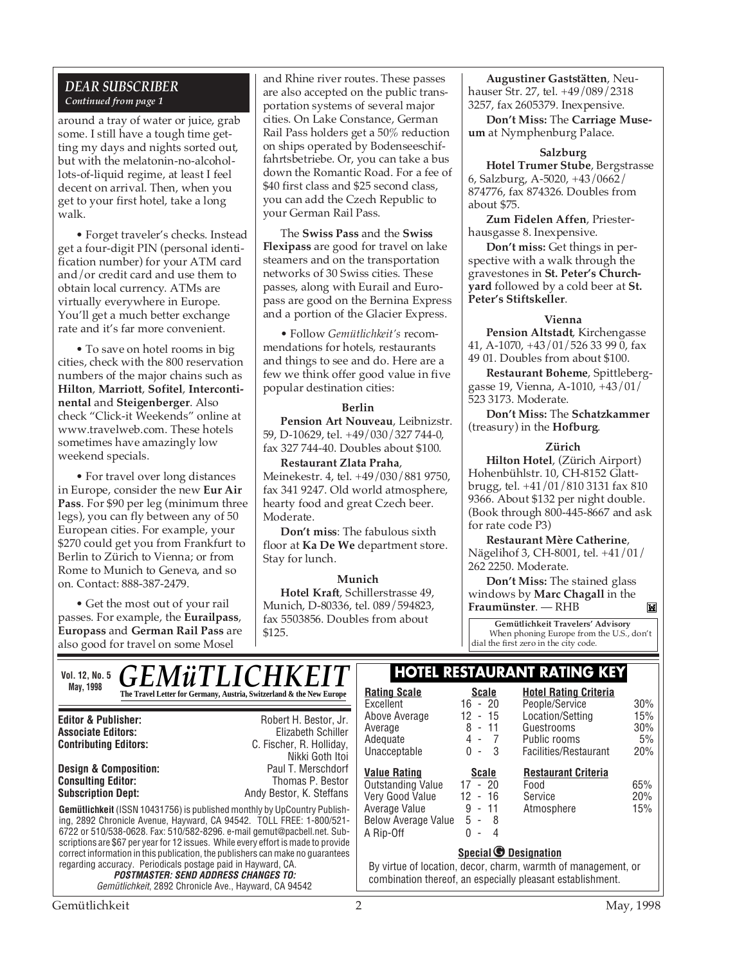#### *DEAR SUBSCRIBER Continued from page 1*

around a tray of water or juice, grab some. I still have a tough time getting my days and nights sorted out, but with the melatonin-no-alcohollots-of-liquid regime, at least I feel decent on arrival. Then, when you get to your first hotel, take a long walk.

• Forget traveler's checks. Instead get a four-digit PIN (personal identification number) for your ATM card and/or credit card and use them to obtain local currency. ATMs are virtually everywhere in Europe. You'll get a much better exchange rate and it's far more convenient.

• To save on hotel rooms in big cities, check with the 800 reservation numbers of the major chains such as **Hilton**, **Marriott**, **Sofitel**, **Intercontinental** and **Steigenberger**. Also check "Click-it Weekends" online at www.travelweb.com. These hotels sometimes have amazingly low weekend specials.

• For travel over long distances in Europe, consider the new **Eur Air Pass**. For \$90 per leg (minimum three legs), you can fly between any of 50 European cities. For example, your \$270 could get you from Frankfurt to Berlin to Zürich to Vienna; or from Rome to Munich to Geneva, and so on. Contact: 888-387-2479.

• Get the most out of your rail passes. For example, the **Eurailpass**, **Europass** and **German Rail Pass** are also good for travel on some Mosel

and Rhine river routes. These passes are also accepted on the public transportation systems of several major cities. On Lake Constance, German Rail Pass holders get a 50% reduction on ships operated by Bodenseeschiffahrtsbetriebe. Or, you can take a bus down the Romantic Road. For a fee of \$40 first class and \$25 second class, you can add the Czech Republic to your German Rail Pass.

The **Swiss Pass** and the **Swiss Flexipass** are good for travel on lake steamers and on the transportation networks of 30 Swiss cities. These passes, along with Eurail and Europass are good on the Bernina Express and a portion of the Glacier Express.

• Follow *Gemütlichkeit's* recommendations for hotels, restaurants and things to see and do. Here are a few we think offer good value in five popular destination cities:

#### **Berlin**

**Pension Art Nouveau**, Leibnizstr. 59, D-10629, tel. +49/030/327 744-0, fax 327 744-40. Doubles about \$100.

**Restaurant Zlata Praha**, Meinekestr. 4, tel. +49/030/881 9750, fax 341 9247. Old world atmosphere, hearty food and great Czech beer. Moderate.

**Don't miss**: The fabulous sixth floor at **Ka De We** department store. Stay for lunch.

**Munich Hotel Kraft**, Schillerstrasse 49, Munich, D-80336, tel. 089/594823, fax 5503856. Doubles from about \$125.

**Augustiner Gaststätten**, Neuhauser Str. 27, tel. +49/089/2318 3257, fax 2605379. Inexpensive.

**Don't Miss:** The **Carriage Museum** at Nymphenburg Palace.

#### **Salzburg**

**Hotel Trumer Stube**, Bergstrasse 6, Salzburg, A-5020, +43/0662/ 874776, fax 874326. Doubles from about \$75.

**Zum Fidelen Affen**, Priesterhausgasse 8. Inexpensive.

**Don't miss:** Get things in perspective with a walk through the gravestones in **St. Peter's Churchyard** followed by a cold beer at **St. Peter's Stiftskeller**.

#### **Vienna**

**Pension Altstadt**, Kirchengasse 41, A-1070, +43/01/526 33 99 0, fax 49 01. Doubles from about \$100.

**Restaurant Boheme**, Spittleberggasse 19, Vienna, A-1010, +43/01/ 523 3173. Moderate.

**Don't Miss:** The **Schatzkammer** (treasury) in the **Hofburg**.

#### **Zürich**

**Hilton Hotel**, (Zürich Airport) Hohenbühlstr. 10, CH-8152 Glattbrugg, tel. +41/01/810 3131 fax 810 9366. About \$132 per night double. (Book through 800-445-8667 and ask for rate code P3)

**Restaurant Mère Catherine**, Nägelihof 3, CH-8001, tel. +41/01/ 262 2250. Moderate.

**Don't Miss:** The stained glass windows by **Marc Chagall** in the **Fraumünster**. — RHB

**Gemütlichkeit Travelers' Advisory** When phoning Europe from the U.S., don't dial the first zero in the city code.

#### **Editor & Publisher:** Robert H. Bestor, Jr. **Associate Editors:** Elizabeth Schiller Vol. 12, No. 5<sub>1</sub> C **F M ii T I** I C H K F I T **HOTEL RESTAURANT RATING KEY May, 1998 Rating Scale Rating Scale Rating Scale Rating Scale Rating Scale Scale Scale** *GEMüTLICHKEIT*  $\mathbb{L}$

### **Consulting Editor:**

**Contributing Editors:** C. Fischer, R. Holliday, Nikki Goth Itoi<br>Paul T. Merschdorf **Design & Composition:** Paul T. Merschdorf **Subscription Dept:** Andy Bestor, K. Steffans

**Gemütlichkeit** (ISSN 10431756) is published monthly by UpCountry Publishing, 2892 Chronicle Avenue, Hayward, CA 94542. TOLL FREE: 1-800/521- 6722 or 510/538-0628. Fax: 510/582-8296. e-mail gemut@pacbell.net. Subscriptions are \$67 per year for 12 issues. While every effort is made to provide correct information in this publication, the publishers can make no guarantees regarding accuracy. Periodicals postage paid in Hayward, CA.

**POSTMASTER: SEND ADDRESS CHANGES TO:** Gemütlichkeit, 2892 Chronicle Ave., Hayward, CA 94542

| <b>Rating Scale</b> | Scale                    |   | <b>Hotel Rating Criteria</b> |     |
|---------------------|--------------------------|---|------------------------------|-----|
| Excellent           | $16 - 20$                |   | People/Service               | 30% |
| Above Average       | $12 - 15$                |   | Location/Setting             | 15% |
| Average             | 8 - 11                   |   | Guestrooms                   | 30% |
| Adequate            | 4 - 7                    |   | Public rooms                 | 5%  |
| Unacceptable        | ი -<br>- 3               |   | Facilities/Restaurant        | 20% |
| Value Rating        | <b>Scale</b>             |   | <b>Restaurant Criteria</b>   |     |
| Outstanding Value   | 17 - 20                  |   | Food                         | 65% |
| Very Good Value     | 12 - 16                  |   | Service                      | 20% |
| Average Value       | 9 - 11                   |   | Atmosphere                   | 15% |
| Below Average Value | $5 - 8$                  |   |                              |     |
| A Rip-Off           | $\overline{\phantom{a}}$ | 4 |                              |     |
|                     |                          | ∽ |                              |     |

#### **Special C** Designation

By virtue of location, decor, charm, warmth of management, or combination thereof, an especially pleasant establishment.

M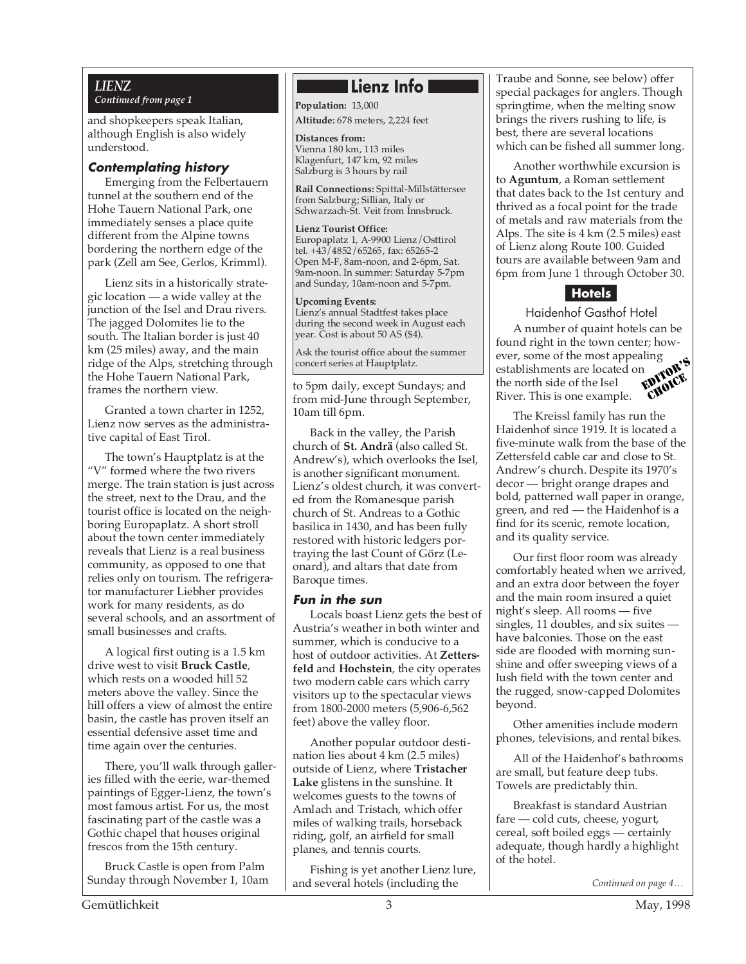#### *LIENZ*

*Continued from page 1*

and shopkeepers speak Italian, although English is also widely understood.

#### **Contemplating history**

Emerging from the Felbertauern tunnel at the southern end of the Hohe Tauern National Park, one immediately senses a place quite different from the Alpine towns bordering the northern edge of the park (Zell am See, Gerlos, Krimml).

Lienz sits in a historically strategic location — a wide valley at the junction of the Isel and Drau rivers. The jagged Dolomites lie to the south. The Italian border is just 40 km (25 miles) away, and the main ridge of the Alps, stretching through the Hohe Tauern National Park, frames the northern view.

Granted a town charter in 1252, Lienz now serves as the administrative capital of East Tirol.

The town's Hauptplatz is at the "V" formed where the two rivers merge. The train station is just across the street, next to the Drau, and the tourist office is located on the neighboring Europaplatz. A short stroll about the town center immediately reveals that Lienz is a real business community, as opposed to one that relies only on tourism. The refrigerator manufacturer Liebher provides work for many residents, as do several schools, and an assortment of small businesses and crafts.

A logical first outing is a 1.5 km drive west to visit **Bruck Castle**, which rests on a wooded hill 52 meters above the valley. Since the hill offers a view of almost the entire basin, the castle has proven itself an essential defensive asset time and time again over the centuries.

There, you'll walk through galleries filled with the eerie, war-themed paintings of Egger-Lienz, the town's most famous artist. For us, the most fascinating part of the castle was a Gothic chapel that houses original frescos from the 15th century.

Bruck Castle is open from Palm Sunday through November 1, 10am

### **Lienz Info**

**Population:** 13,000 **Altitude:** 678 meters, 2,224 feet

**Distances from:** Vienna 180 km, 113 miles Klagenfurt, 147 km, 92 miles Salzburg is 3 hours by rail

**Rail Connections:** Spittal-Millstättersee from Salzburg; Sillian, Italy or Schwarzach-St. Veit from Innsbruck.

**Lienz Tourist Office:** Europaplatz 1, A-9900 Lienz/Osttirol tel. +43/4852/65265, fax: 65265-2 Open M-F, 8am-noon, and 2-6pm, Sat. 9am-noon. In summer: Saturday 5-7pm and Sunday, 10am-noon and 5-7pm.

**Upcoming Events:** Lienz's annual Stadtfest takes place during the second week in August each year. Cost is about 50 AS (\$4).

Ask the tourist office about the summer concert series at Hauptplatz.

to 5pm daily, except Sundays; and from mid-June through September, 10am till 6pm.

Back in the valley, the Parish church of **St. Andrä** (also called St. Andrew's), which overlooks the Isel, is another significant monument. Lienz's oldest church, it was converted from the Romanesque parish church of St. Andreas to a Gothic basilica in 1430, and has been fully restored with historic ledgers portraying the last Count of Görz (Leonard), and altars that date from Baroque times.

#### **Fun in the sun**

Locals boast Lienz gets the best of Austria's weather in both winter and summer, which is conducive to a host of outdoor activities. At **Zettersfeld** and **Hochstein**, the city operates two modern cable cars which carry visitors up to the spectacular views from 1800-2000 meters (5,906-6,562 feet) above the valley floor.

Another popular outdoor destination lies about 4 km (2.5 miles) outside of Lienz, where **Tristacher Lake** glistens in the sunshine. It welcomes guests to the towns of Amlach and Tristach, which offer miles of walking trails, horseback riding, golf, an airfield for small planes, and tennis courts.

Fishing is yet another Lienz lure, and several hotels (including the

Traube and Sonne, see below) offer special packages for anglers. Though springtime, when the melting snow brings the rivers rushing to life, is best, there are several locations which can be fished all summer long.

Another worthwhile excursion is to **Aguntum**, a Roman settlement that dates back to the 1st century and thrived as a focal point for the trade of metals and raw materials from the Alps. The site is 4 km (2.5 miles) east of Lienz along Route 100. Guided tours are available between 9am and 6pm from June 1 through October 30.

#### **Hotels**

Haidenhof Gasthof Hotel

EDITOR'S CHOICE A number of quaint hotels can be found right in the town center; however, some of the most appealing establishments are located on the north side of the Isel River. This is one example.

The Kreissl family has run the Haidenhof since 1919. It is located a five-minute walk from the base of the Zettersfeld cable car and close to St. Andrew's church. Despite its 1970's decor — bright orange drapes and bold, patterned wall paper in orange, green, and red — the Haidenhof is a find for its scenic, remote location, and its quality service.

Our first floor room was already comfortably heated when we arrived, and an extra door between the foyer and the main room insured a quiet night's sleep. All rooms — five singles, 11 doubles, and six suites have balconies. Those on the east side are flooded with morning sunshine and offer sweeping views of a lush field with the town center and the rugged, snow-capped Dolomites beyond.

Other amenities include modern phones, televisions, and rental bikes.

All of the Haidenhof's bathrooms are small, but feature deep tubs. Towels are predictably thin.

Breakfast is standard Austrian fare — cold cuts, cheese, yogurt, cereal, soft boiled eggs — certainly adequate, though hardly a highlight of the hotel.

*Continued on page 4…*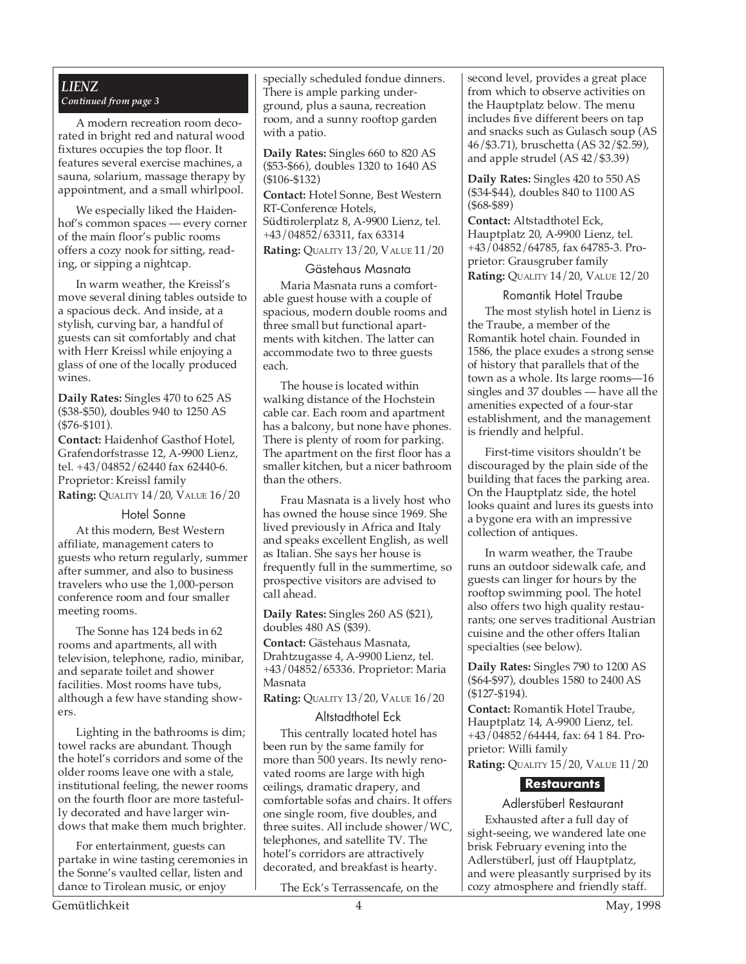#### *LIENZ Continued from page 3*

A modern recreation room decorated in bright red and natural wood fixtures occupies the top floor. It features several exercise machines, a sauna, solarium, massage therapy by appointment, and a small whirlpool.

We especially liked the Haidenhof's common spaces — every corner of the main floor's public rooms offers a cozy nook for sitting, reading, or sipping a nightcap.

In warm weather, the Kreissl's move several dining tables outside to a spacious deck. And inside, at a stylish, curving bar, a handful of guests can sit comfortably and chat with Herr Kreissl while enjoying a glass of one of the locally produced wines.

**Daily Rates:** Singles 470 to 625 AS (\$38-\$50), doubles 940 to 1250 AS (\$76-\$101).

**Contact:** Haidenhof Gasthof Hotel, Grafendorfstrasse 12, A-9900 Lienz, tel. +43/04852/62440 fax 62440-6. Proprietor: Kreissl family **Rating:** QUALITY 14/20, VALUE 16/20

#### Hotel Sonne

At this modern, Best Western affiliate, management caters to guests who return regularly, summer after summer, and also to business travelers who use the 1,000-person conference room and four smaller meeting rooms.

The Sonne has 124 beds in 62 rooms and apartments, all with television, telephone, radio, minibar, and separate toilet and shower facilities. Most rooms have tubs, although a few have standing showers.

Lighting in the bathrooms is dim; towel racks are abundant. Though the hotel's corridors and some of the older rooms leave one with a stale, institutional feeling, the newer rooms on the fourth floor are more tastefully decorated and have larger windows that make them much brighter.

For entertainment, guests can partake in wine tasting ceremonies in the Sonne's vaulted cellar, listen and dance to Tirolean music, or enjoy

specially scheduled fondue dinners. There is ample parking underground, plus a sauna, recreation room, and a sunny rooftop garden with a patio.

**Daily Rates:** Singles 660 to 820 AS (\$53-\$66), doubles 1320 to 1640 AS (\$106-\$132)

**Contact:** Hotel Sonne, Best Western RT-Conference Hotels, Südtirolerplatz 8, A-9900 Lienz, tel. +43/04852/63311, fax 63314 **Rating:** QUALITY 13/20, VALUE 11/20

#### Gästehaus Masnata

Maria Masnata runs a comfortable guest house with a couple of spacious, modern double rooms and three small but functional apartments with kitchen. The latter can accommodate two to three guests each.

The house is located within walking distance of the Hochstein cable car. Each room and apartment has a balcony, but none have phones. There is plenty of room for parking. The apartment on the first floor has a smaller kitchen, but a nicer bathroom than the others.

Frau Masnata is a lively host who has owned the house since 1969. She lived previously in Africa and Italy and speaks excellent English, as well as Italian. She says her house is frequently full in the summertime, so prospective visitors are advised to call ahead.

**Daily Rates:** Singles 260 AS (\$21), doubles 480 AS (\$39).

**Contact:** Gästehaus Masnata, Drahtzugasse 4, A-9900 Lienz, tel. +43/04852/65336. Proprietor: Maria Masnata

**Rating:** QUALITY 13/20, VALUE 16/20

#### Altstadthotel Eck

This centrally located hotel has been run by the same family for more than 500 years. Its newly renovated rooms are large with high ceilings, dramatic drapery, and comfortable sofas and chairs. It offers one single room, five doubles, and three suites. All include shower/WC, telephones, and satellite TV. The hotel's corridors are attractively decorated, and breakfast is hearty.

The Eck's Terrassencafe, on the

second level, provides a great place from which to observe activities on the Hauptplatz below. The menu includes five different beers on tap and snacks such as Gulasch soup (AS 46/\$3.71), bruschetta (AS 32/\$2.59), and apple strudel (AS 42/\$3.39)

**Daily Rates:** Singles 420 to 550 AS (\$34-\$44), doubles 840 to 1100 AS (\$68-\$89)

**Contact:** Altstadthotel Eck, Hauptplatz 20, A-9900 Lienz, tel. +43/04852/64785, fax 64785-3. Proprietor: Grausgruber family

**Rating:** QUALITY 14/20, VALUE 12/20

Romantik Hotel Traube

The most stylish hotel in Lienz is the Traube, a member of the Romantik hotel chain. Founded in 1586, the place exudes a strong sense of history that parallels that of the town as a whole. Its large rooms—16 singles and 37 doubles — have all the amenities expected of a four-star establishment, and the management is friendly and helpful.

First-time visitors shouldn't be discouraged by the plain side of the building that faces the parking area. On the Hauptplatz side, the hotel looks quaint and lures its guests into a bygone era with an impressive collection of antiques.

In warm weather, the Traube runs an outdoor sidewalk cafe, and guests can linger for hours by the rooftop swimming pool. The hotel also offers two high quality restaurants; one serves traditional Austrian cuisine and the other offers Italian specialties (see below).

**Daily Rates:** Singles 790 to 1200 AS (\$64-\$97), doubles 1580 to 2400 AS (\$127-\$194).

**Contact:** Romantik Hotel Traube, Hauptplatz 14, A-9900 Lienz, tel. +43/04852/64444, fax: 64 1 84. Proprietor: Willi family

**Rating:** QUALITY 15/20, VALUE 11/20

#### **Restaurants**

Adlerstüberl Restaurant Exhausted after a full day of sight-seeing, we wandered late one brisk February evening into the Adlerstüberl, just off Hauptplatz, and were pleasantly surprised by its cozy atmosphere and friendly staff.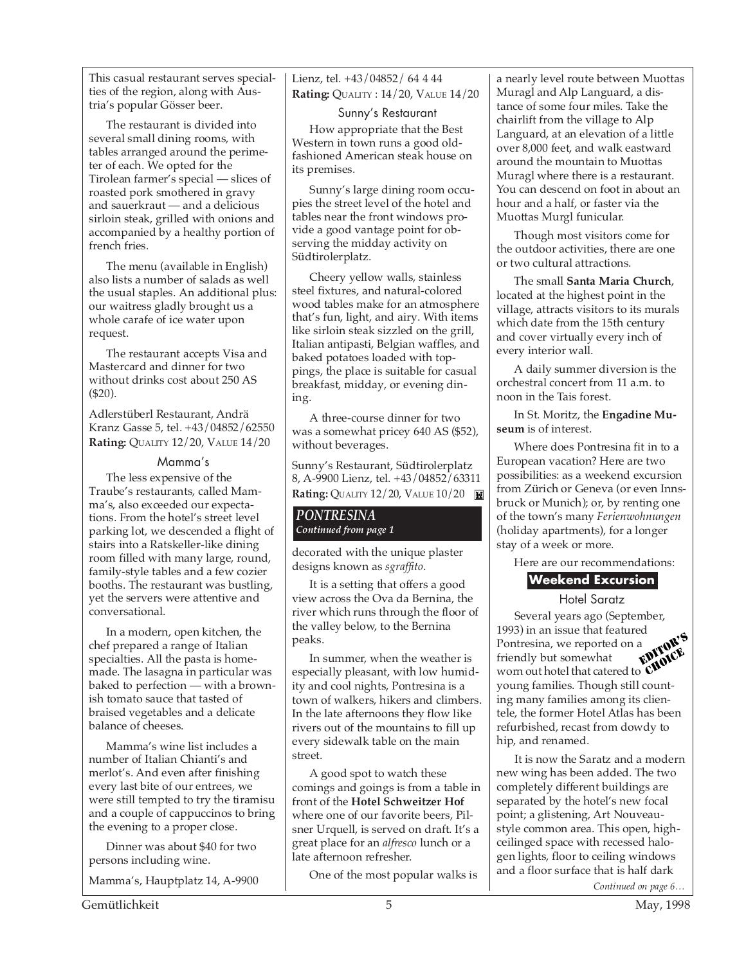This casual restaurant serves specialties of the region, along with Austria's popular Gösser beer.

The restaurant is divided into several small dining rooms, with tables arranged around the perimeter of each. We opted for the Tirolean farmer's special — slices of roasted pork smothered in gravy and sauerkraut — and a delicious sirloin steak, grilled with onions and accompanied by a healthy portion of french fries.

The menu (available in English) also lists a number of salads as well the usual staples. An additional plus: our waitress gladly brought us a whole carafe of ice water upon request.

The restaurant accepts Visa and Mastercard and dinner for two without drinks cost about 250 AS (\$20).

Adlerstüberl Restaurant, Andrä Kranz Gasse 5, tel. +43/04852/62550 **Rating:** QUALITY 12/20, VALUE 14/20

#### Mamma's

The less expensive of the Traube's restaurants, called Mamma's, also exceeded our expectations. From the hotel's street level parking lot, we descended a flight of stairs into a Ratskeller-like dining room filled with many large, round, family-style tables and a few cozier booths. The restaurant was bustling, yet the servers were attentive and conversational.

In a modern, open kitchen, the chef prepared a range of Italian specialties. All the pasta is homemade. The lasagna in particular was baked to perfection — with a brownish tomato sauce that tasted of braised vegetables and a delicate balance of cheeses.

Mamma's wine list includes a number of Italian Chianti's and merlot's. And even after finishing every last bite of our entrees, we were still tempted to try the tiramisu and a couple of cappuccinos to bring the evening to a proper close.

Dinner was about \$40 for two persons including wine.

Mamma's, Hauptplatz 14, A-9900

Lienz, tel. +43/04852/ 64 4 44 **Rating:** QUALITY : 14/20, VALUE 14/20

Sunny's Restaurant

How appropriate that the Best Western in town runs a good oldfashioned American steak house on its premises.

Sunny's large dining room occupies the street level of the hotel and tables near the front windows provide a good vantage point for observing the midday activity on Südtirolerplatz.

Cheery yellow walls, stainless steel fixtures, and natural-colored wood tables make for an atmosphere that's fun, light, and airy. With items like sirloin steak sizzled on the grill, Italian antipasti, Belgian waffles, and baked potatoes loaded with toppings, the place is suitable for casual breakfast, midday, or evening dining.

A three-course dinner for two was a somewhat pricey 640 AS (\$52), without beverages.

Sunny's Restaurant, Südtirolerplatz 8, A-9900 Lienz, tel. +43/04852/63311 **Rating:** QUALITY 12/20, VALUE 10/20

#### *PONTRESINA Continued from page 1*

decorated with the unique plaster designs known as *sgraffito*.

It is a setting that offers a good view across the Ova da Bernina, the river which runs through the floor of the valley below, to the Bernina peaks.

In summer, when the weather is especially pleasant, with low humidity and cool nights, Pontresina is a town of walkers, hikers and climbers. In the late afternoons they flow like rivers out of the mountains to fill up every sidewalk table on the main street.

A good spot to watch these comings and goings is from a table in front of the **Hotel Schweitzer Hof** where one of our favorite beers, Pilsner Urquell, is served on draft. It's a great place for an *alfresco* lunch or a late afternoon refresher.

One of the most popular walks is

a nearly level route between Muottas Muragl and Alp Languard, a distance of some four miles. Take the chairlift from the village to Alp Languard, at an elevation of a little over 8,000 feet, and walk eastward around the mountain to Muottas Muragl where there is a restaurant. You can descend on foot in about an hour and a half, or faster via the Muottas Murgl funicular.

Though most visitors come for the outdoor activities, there are one or two cultural attractions.

The small **Santa Maria Church**, located at the highest point in the village, attracts visitors to its murals which date from the 15th century and cover virtually every inch of every interior wall.

A daily summer diversion is the orchestral concert from 11 a.m. to noon in the Tais forest.

In St. Moritz, the **Engadine Museum** is of interest.

Where does Pontresina fit in to a European vacation? Here are two possibilities: as a weekend excursion from Zürich or Geneva (or even Innsbruck or Munich); or, by renting one of the town's many *Ferienwohnungen* (holiday apartments), for a longer stay of a week or more.

Here are our recommendations:

#### **Weekend Excursion**

Hotel Saratz

Several years ago (September, 1993) in an issue that featured Pontresina, we reported on a friendly but somewhat worn out hotel that catered to young families. Though still counting many families among its clientele, the former Hotel Atlas has been refurbished, recast from dowdy to hip, and renamed. EDITOR'S CHOICE.<br>CHOICE

It is now the Saratz and a modern new wing has been added. The two completely different buildings are separated by the hotel's new focal point; a glistening, Art Nouveaustyle common area. This open, highceilinged space with recessed halogen lights, floor to ceiling windows and a floor surface that is half dark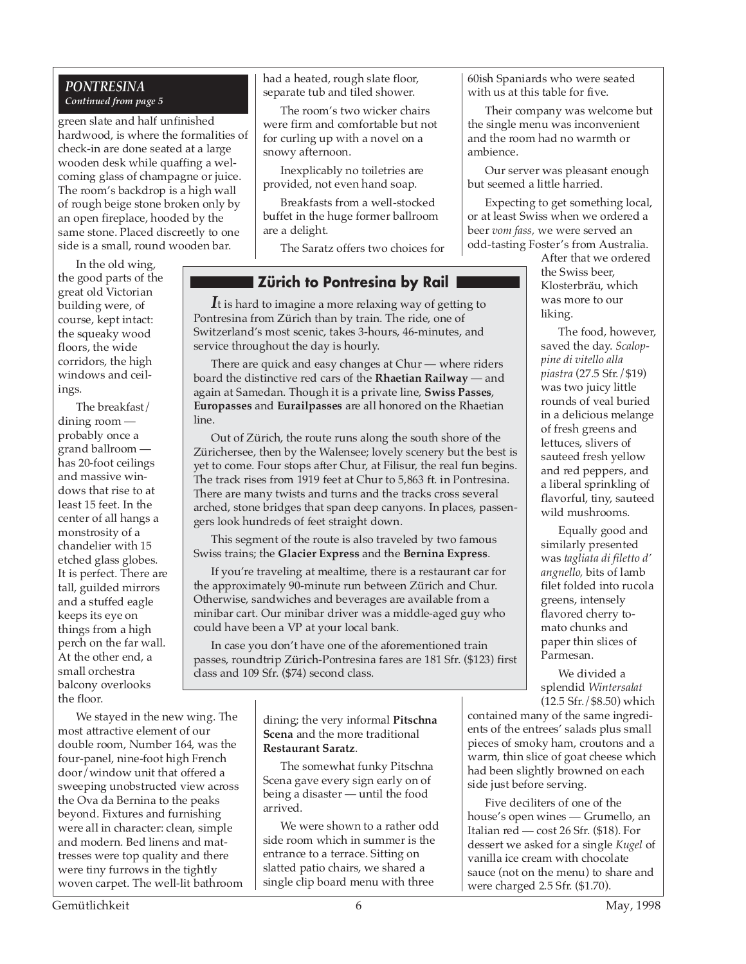#### *PONTRESINA Continued from page 5*

green slate and half unfinished hardwood, is where the formalities of check-in are done seated at a large wooden desk while quaffing a welcoming glass of champagne or juice. The room's backdrop is a high wall of rough beige stone broken only by an open fireplace, hooded by the same stone. Placed discreetly to one side is a small, round wooden bar.

In the old wing, the good parts of the great old Victorian building were, of course, kept intact: the squeaky wood floors, the wide corridors, the high windows and ceilings.

The breakfast/ dining room probably once a grand ballroom has 20-foot ceilings and massive windows that rise to at least 15 feet. In the center of all hangs a monstrosity of a chandelier with 15 etched glass globes. It is perfect. There are tall, guilded mirrors and a stuffed eagle keeps its eye on things from a high perch on the far wall. At the other end, a small orchestra balcony overlooks the floor.

We stayed in the new wing. The most attractive element of our double room, Number 164, was the four-panel, nine-foot high French door/window unit that offered a sweeping unobstructed view across the Ova da Bernina to the peaks beyond. Fixtures and furnishing were all in character: clean, simple and modern. Bed linens and mattresses were top quality and there were tiny furrows in the tightly woven carpet. The well-lit bathroom had a heated, rough slate floor, separate tub and tiled shower.

The room's two wicker chairs were firm and comfortable but not for curling up with a novel on a snowy afternoon.

Inexplicably no toiletries are provided, not even hand soap.

Breakfasts from a well-stocked buffet in the huge former ballroom are a delight.

The Saratz offers two choices for

#### **Zürich to Pontresina by Rail**

*I*t is hard to imagine a more relaxing way of getting to Pontresina from Zürich than by train. The ride, one of Switzerland's most scenic, takes 3-hours, 46-minutes, and service throughout the day is hourly.

There are quick and easy changes at Chur — where riders board the distinctive red cars of the **Rhaetian Railway** — and again at Samedan. Though it is a private line, **Swiss Passes**, **Europasses** and **Eurailpasses** are all honored on the Rhaetian line.

Out of Zürich, the route runs along the south shore of the Zürichersee, then by the Walensee; lovely scenery but the best is yet to come. Four stops after Chur, at Filisur, the real fun begins. The track rises from 1919 feet at Chur to 5,863 ft. in Pontresina. There are many twists and turns and the tracks cross several arched, stone bridges that span deep canyons. In places, passengers look hundreds of feet straight down.

This segment of the route is also traveled by two famous Swiss trains; the **Glacier Express** and the **Bernina Express**.

If you're traveling at mealtime, there is a restaurant car for the approximately 90-minute run between Zürich and Chur. Otherwise, sandwiches and beverages are available from a minibar cart. Our minibar driver was a middle-aged guy who could have been a VP at your local bank.

In case you don't have one of the aforementioned train passes, roundtrip Zürich-Pontresina fares are 181 Sfr. (\$123) first class and 109 Sfr. (\$74) second class.

> dining; the very informal **Pitschna Scena** and the more traditional **Restaurant Saratz**.

The somewhat funky Pitschna Scena gave every sign early on of being a disaster — until the food arrived.

We were shown to a rather odd side room which in summer is the entrance to a terrace. Sitting on slatted patio chairs, we shared a single clip board menu with three

60ish Spaniards who were seated with us at this table for five.

Their company was welcome but the single menu was inconvenient and the room had no warmth or ambience.

Our server was pleasant enough but seemed a little harried.

Expecting to get something local, or at least Swiss when we ordered a beer *vom fass,* we were served an odd-tasting Foster's from Australia.

After that we ordered the Swiss beer, Klosterbräu, which was more to our liking.

The food, however, saved the day. *Scaloppine di vitello alla piastra* (27.5 Sfr./\$19) was two juicy little rounds of veal buried in a delicious melange of fresh greens and lettuces, slivers of sauteed fresh yellow and red peppers, and a liberal sprinkling of flavorful, tiny, sauteed wild mushrooms.

Equally good and similarly presented was *tagliata di filetto d' angnello,* bits of lamb filet folded into rucola greens, intensely flavored cherry tomato chunks and paper thin slices of Parmesan.

We divided a splendid *Wintersalat* (12.5 Sfr./\$8.50) which

contained many of the same ingredients of the entrees' salads plus small pieces of smoky ham, croutons and a warm, thin slice of goat cheese which had been slightly browned on each side just before serving.

Five deciliters of one of the house's open wines — Grumello, an Italian red — cost 26 Sfr. (\$18). For dessert we asked for a single *Kugel* of vanilla ice cream with chocolate sauce (not on the menu) to share and were charged 2.5 Sfr. (\$1.70).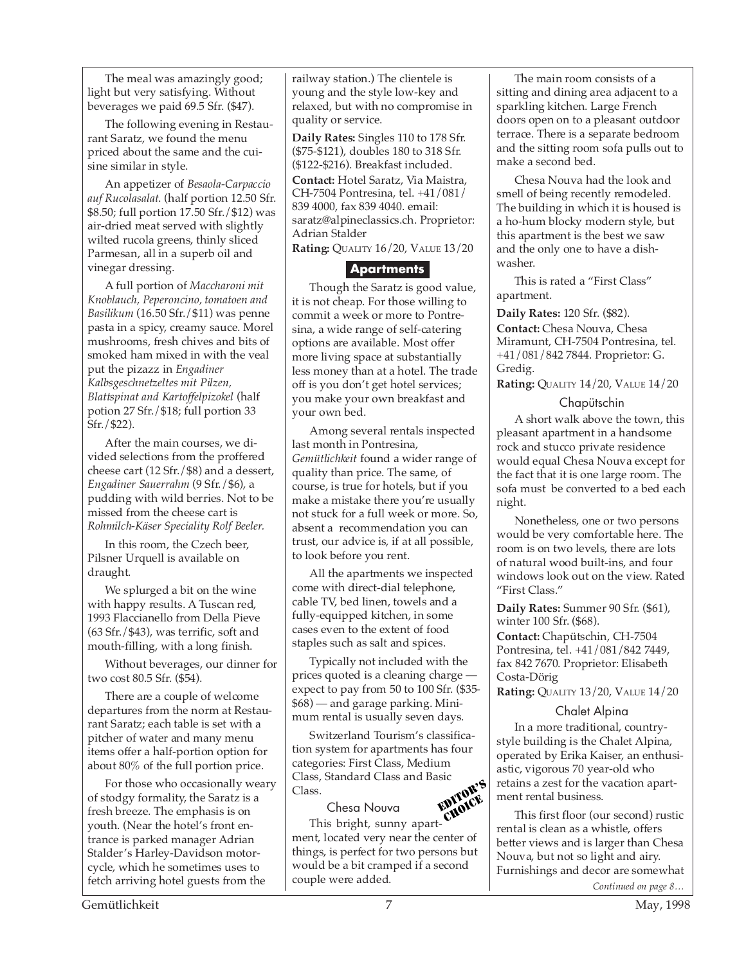The meal was amazingly good; light but very satisfying. Without beverages we paid 69.5 Sfr. (\$47).

The following evening in Restaurant Saratz, we found the menu priced about the same and the cuisine similar in style.

An appetizer of *Besaola-Carpaccio auf Rucolasalat*. (half portion 12.50 Sfr. \$8.50; full portion 17.50 Sfr./\$12) was air-dried meat served with slightly wilted rucola greens, thinly sliced Parmesan, all in a superb oil and vinegar dressing.

A full portion of *Maccharoni mit Knoblauch, Peperoncino, tomatoen and Basilikum* (16.50 Sfr./\$11) was penne pasta in a spicy, creamy sauce. Morel mushrooms, fresh chives and bits of smoked ham mixed in with the veal put the pizazz in *Engadiner Kalbsgeschnetzeltes mit Pilzen, Blattspinat and Kartoffelpizokel* (half potion 27 Sfr./\$18; full portion 33 Sfr./\$22).

After the main courses, we divided selections from the proffered cheese cart (12 Sfr./\$8) and a dessert, *Engadiner Sauerrahm* (9 Sfr./\$6), a pudding with wild berries. Not to be missed from the cheese cart is *Rohmilch-Käser Speciality Rolf Beeler.*

In this room, the Czech beer, Pilsner Urquell is available on draught.

We splurged a bit on the wine with happy results. A Tuscan red, 1993 Flaccianello from Della Pieve (63 Sfr./\$43), was terrific, soft and mouth-filling, with a long finish.

Without beverages, our dinner for two cost 80.5 Sfr. (\$54).

There are a couple of welcome departures from the norm at Restaurant Saratz; each table is set with a pitcher of water and many menu items offer a half-portion option for about 80% of the full portion price.

For those who occasionally weary of stodgy formality, the Saratz is a fresh breeze. The emphasis is on youth. (Near the hotel's front entrance is parked manager Adrian Stalder's Harley-Davidson motorcycle, which he sometimes uses to fetch arriving hotel guests from the

railway station.) The clientele is young and the style low-key and relaxed, but with no compromise in quality or service.

**Daily Rates:** Singles 110 to 178 Sfr. (\$75-\$121), doubles 180 to 318 Sfr. (\$122-\$216). Breakfast included. **Contact:** Hotel Saratz, Via Maistra, CH-7504 Pontresina, tel. +41/081/ 839 4000, fax 839 4040. email: saratz@alpineclassics.ch. Proprietor: Adrian Stalder

**Rating:** QUALITY 16/20, VALUE 13/20

#### **Apartments**

Though the Saratz is good value, it is not cheap. For those willing to commit a week or more to Pontresina, a wide range of self-catering options are available. Most offer more living space at substantially less money than at a hotel. The trade off is you don't get hotel services; you make your own breakfast and your own bed.

Among several rentals inspected last month in Pontresina, *Gemütlichkeit* found a wider range of quality than price. The same, of course, is true for hotels, but if you make a mistake there you're usually not stuck for a full week or more. So, absent a recommendation you can trust, our advice is, if at all possible, to look before you rent.

All the apartments we inspected come with direct-dial telephone, cable TV, bed linen, towels and a fully-equipped kitchen, in some cases even to the extent of food staples such as salt and spices.

Typically not included with the prices quoted is a cleaning charge expect to pay from 50 to 100 Sfr. (\$35- \$68) — and garage parking. Minimum rental is usually seven days.

Switzerland Tourism's classification system for apartments has four categories: First Class, Medium Class, Standard Class and Basic Class. EDITOR'S

#### Chesa Nouva

This bright, sunny apartment, located very near the center of things, is perfect for two persons but would be a bit cramped if a second couple were added. CHOICE

The main room consists of a sitting and dining area adjacent to a sparkling kitchen. Large French doors open on to a pleasant outdoor terrace. There is a separate bedroom and the sitting room sofa pulls out to make a second bed.

Chesa Nouva had the look and smell of being recently remodeled. The building in which it is housed is a ho-hum blocky modern style, but this apartment is the best we saw and the only one to have a dishwasher.

This is rated a "First Class" apartment.

**Daily Rates:** 120 Sfr. (\$82).

**Contact:** Chesa Nouva, Chesa Miramunt, CH-7504 Pontresina, tel. +41/081/842 7844. Proprietor: G. Gredig.

**Rating:** QUALITY 14/20, VALUE 14/20

Chapütschin

A short walk above the town, this pleasant apartment in a handsome rock and stucco private residence would equal Chesa Nouva except for the fact that it is one large room. The sofa must be converted to a bed each night.

Nonetheless, one or two persons would be very comfortable here. The room is on two levels, there are lots of natural wood built-ins, and four windows look out on the view. Rated "First Class."

**Daily Rates:** Summer 90 Sfr. (\$61), winter 100 Sfr. (\$68).

**Contact:** Chapütschin, CH-7504 Pontresina, tel. +41/081/842 7449, fax 842 7670. Proprietor: Elisabeth Costa-Dörig

**Rating:** QUALITY 13/20, VALUE 14/20

#### Chalet Alpina

In a more traditional, countrystyle building is the Chalet Alpina, operated by Erika Kaiser, an enthusiastic, vigorous 70 year-old who retains a zest for the vacation apartment rental business.

*Continued on page 8…* This first floor (our second) rustic rental is clean as a whistle, offers better views and is larger than Chesa Nouva, but not so light and airy. Furnishings and decor are somewhat